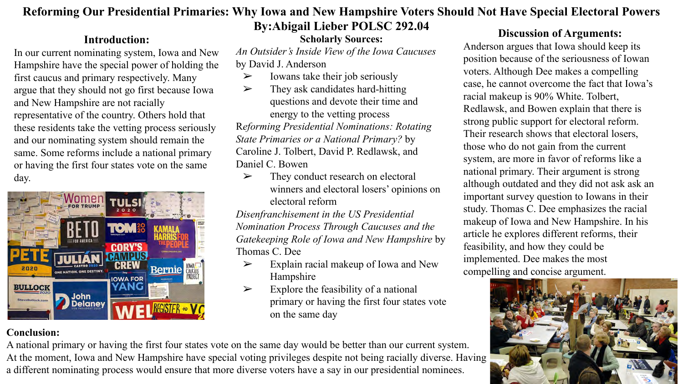## **Reforming Our Presidential Primaries: Why Iowa and New Hampshire Voters Should Not Have Special Electoral Powers By:Abigail Lieber POLSC 292.04**

## **Introduction:**

In our current nominating system, Iowa and New Hampshire have the special power of holding the first caucus and primary respectively. Many argue that they should not go first because Iowa and New Hampshire are not racially representative of the country. Others hold that these residents take the vetting process seriously and our nominating system should remain the same. Some reforms include a national primary or having the first four states vote on the same day.



## **Conclusion:**

## A national primary or having the first four states vote on the same day would be better than our current system. At the moment, Iowa and New Hampshire have special voting privileges despite not being racially diverse. Having a different nominating process would ensure that more diverse voters have a say in our presidential nominees.

## **Scholarly Sources:**

*An Outsider's Inside View of the Iowa Caucuses*  by David J. Anderson

- $\triangleright$  Iowans take their job seriously
- $\triangleright$  They ask candidates hard-hitting questions and devote their time and energy to the vetting process R*eforming Presidential Nominations: Rotating State Primaries or a National Primary?* by Caroline J. Tolbert, David P. Redlawsk, and Daniel C. Bowen
	- ➢ They conduct research on electoral winners and electoral losers' opinions on electoral reform

*Disenfranchisement in the US Presidential Nomination Process Through Caucuses and the Gatekeeping Role of Iowa and New Hampshire* by Thomas C. Dee

- $\triangleright$  Explain racial makeup of Iowa and New Hampshire
- $\triangleright$  Explore the feasibility of a national primary or having the first four states vote on the same day

## **Discussion of Arguments:**

Anderson argues that Iowa should keep its position because of the seriousness of Iowan voters. Although Dee makes a compelling case, he cannot overcome the fact that Iowa's racial makeup is 90% White. Tolbert, Redlawsk, and Bowen explain that there is strong public support for electoral reform. Their research shows that electoral losers, those who do not gain from the current system, are more in favor of reforms like a national primary. Their argument is strong although outdated and they did not ask ask an important survey question to Iowans in their study. Thomas C. Dee emphasizes the racial makeup of Iowa and New Hampshire. In his article he explores different reforms, their feasibility, and how they could be implemented. Dee makes the most compelling and concise argument.

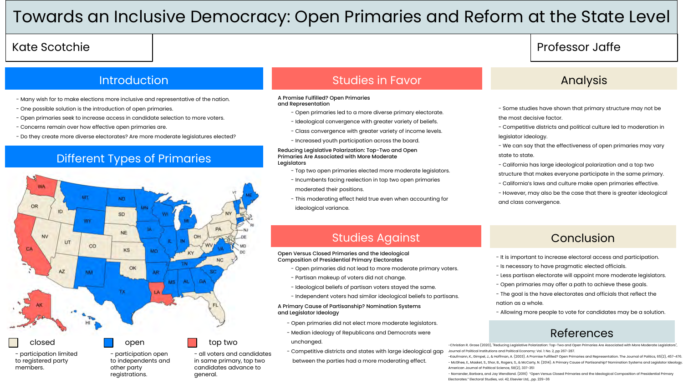## Towards an Inclusive Democracy: Open Primaries and Reform at the State Level

## Kate Scotchie

### **Introduction**

- Many wish for to make elections more inclusive and representative of the nation.
- One possible solution is the introduction of open primaries.
- Open primaries seek to increase access in candidate selection to more voters.
- Concerns remain over how effective open primaries are.
- Do they create more diverse electorates? Are more moderate legislatures elected?

## Different Types of Primaries



- participation limited to registered party members.

- participation open to independents and other party registrations.

- all voters and candidates in same primary, top two candidates advance to general.

## **Studies in Favor Analysis** Analysis

### A Promise Fulfilled? Open Primaries and Representation

- Open primaries led to a more diverse primary electorate.
- Ideological convergence with greater variety of beliefs.
- Class convergence with greater variety of income levels.
- Increased youth participation across the board.

Reducing Legislative Polarization: Top-Two and Open Primaries Are Associated with More Moderate Legislators

- Top two open primaries elected more moderate legislators.
- Incumbents facing reelection in top two open primaries moderated their positions.
- This moderating effect held true even when accounting for ideological variance.

## Professor Jaffe

- Some studies have shown that primary structure may not be the most decisive factor.

- Competitive districts and political culture led to moderation in legislator ideology.

- We can say that the effectiveness of open primaries may vary state to state.

- California has large ideological polarization and a top two

structure that makes everyone participate in the same primary.

- California's laws and culture make open primaries effective.

- However, may also be the case that there is greater ideological and class convergence.

## Studies Against

### Open Versus Closed Primaries and the Ideological Composition of Presidential Primary Electorates

- Open primaries did not lead to more moderate primary voters.
- Partisan makeup of voters did not change.
- Ideological beliefs of partisan voters stayed the same.
- Independent voters had similar ideological beliefs to partisans.

### A Primary Cause of Partisanship? Nomination Systems and Legislator Ideology

- Open primaries did not elect more moderate legislators.
- Median ideology of Republicans and Democrats were unchanged.
- Competitive districts and states with large ideological gap between the parties had a more moderating effect.

## Conclusion

- It is important to increase electoral access and participation.
- Is necessary to have pragmatic elected officials.
- Less partisan electorate will appoint more moderate legislators.
- Open primaries may offer a path to achieve these goals.
- The goal is the have electorates and officials that reflect the nation as a whole.
- Allowing more people to vote for candidates may be a solution.

## References

-Christian R. Grose (2020), "Reducing Legislative Polarization: Top-Two and Open Primaries Are Associated with More Moderate Legislators", Journal of Political Institutions and Political Economy: Vol. 1: No. 2, pp 267-287.

-Kaufmann, K., Gimpel, J., & Hoffman, A. (2003). A Promise Fulfilled? Open Primaries and Representation. The Journal of Politics, 65(2), 457-476. - McGhee, E., Masket, S., Shor, B., Rogers, S., & McCarty, N. (2014). A Primary Cause of Partisanship? Nomination Systems and Legislator Ideology. American Journal of Political Science, 58(2), 337-351

- Norrander, Barbara, and Jay Wendland. (2016) "Open Versus Closed Primaries and the Ideological Composition of Presidential Primary Electorates." Electoral Studies, vol. 42, Elsevier Ltd, , pp. 229–36